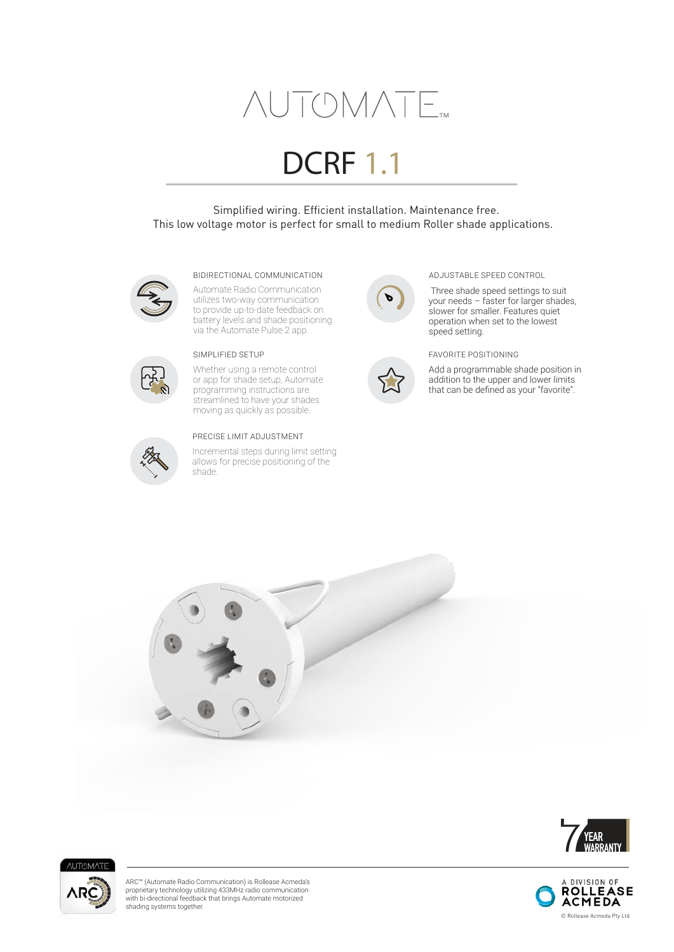# **AUTOMATE**

# DCRF 1.1

 Simplified wiring. Efficient installation. Maintenance free. This low voltage motor is perfect for small to medium Roller shade applications.



#### BIDIRECTIONAL COMMUNICATION ADJUSTABLE SPEED CONTROL

Automate Radio Communication utilizes two-way communication to provide up-to-date feedback on battery levels and shade positioning via the Automate Pulse 2 app.



Whether using a remote control or app for shade setup, Automate programming instructions are streamlined to have your shades moving as quickly as possible.



### PRECISE LIMIT ADJUSTMENT

Incremental steps during limit setting allows for precise positioning of the shade.





 Three shade speed settings to suit your needs – faster for larger shades, slower for smaller. Features quiet operation when set to the lowest speed setting.

## SIMPLIFIED SETUP FAVORITE POSITIONING

Add a programmable shade position in addition to the upper and lower limits that can be defined as your "favorite".







ARC™ (Automate Radio Communication) is Rollease Acmeda's proprietary technology utilizing 433MHz radio communication with bi-directional feedback that brings Automate motorized shading systems together.

A DIVISION OF **ROLLEASE ACMEDA** © Rollease Acmeda Pty Ltd